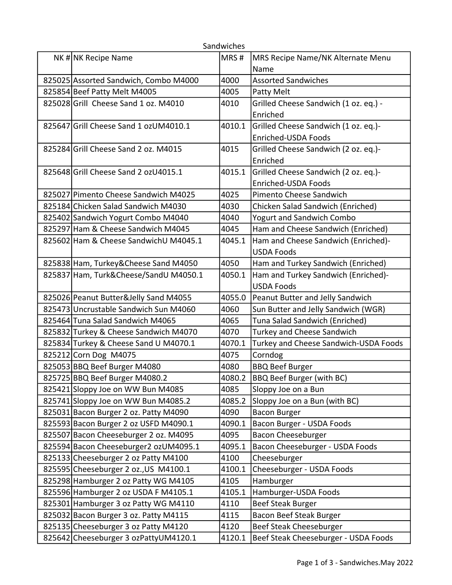|                                       | Sandwiches |                                       |
|---------------------------------------|------------|---------------------------------------|
| NK# NK Recipe Name                    | MRS#       | MRS Recipe Name/NK Alternate Menu     |
|                                       |            | Name                                  |
| 825025 Assorted Sandwich, Combo M4000 | 4000       | <b>Assorted Sandwiches</b>            |
| 825854 Beef Patty Melt M4005          | 4005       | Patty Melt                            |
| 825028 Grill Cheese Sand 1 oz. M4010  | 4010       | Grilled Cheese Sandwich (1 oz. eq.) - |
|                                       |            | Enriched                              |
| 825647 Grill Cheese Sand 1 ozUM4010.1 | 4010.1     | Grilled Cheese Sandwich (1 oz. eq.)-  |
|                                       |            | Enriched-USDA Foods                   |
| 825284 Grill Cheese Sand 2 oz. M4015  | 4015       | Grilled Cheese Sandwich (2 oz. eq.)-  |
|                                       |            | Enriched                              |
| 825648 Grill Cheese Sand 2 ozU4015.1  | 4015.1     | Grilled Cheese Sandwich (2 oz. eq.)-  |
|                                       |            | Enriched-USDA Foods                   |
| 825027 Pimento Cheese Sandwich M4025  | 4025       | Pimento Cheese Sandwich               |
| 825184 Chicken Salad Sandwich M4030   | 4030       | Chicken Salad Sandwich (Enriched)     |
| 825402 Sandwich Yogurt Combo M4040    | 4040       | <b>Yogurt and Sandwich Combo</b>      |
| 825297 Ham & Cheese Sandwich M4045    | 4045       | Ham and Cheese Sandwich (Enriched)    |
| 825602 Ham & Cheese Sandwich UM4045.1 | 4045.1     | Ham and Cheese Sandwich (Enriched)-   |
|                                       |            | <b>USDA Foods</b>                     |
| 825838 Ham, Turkey&Cheese Sand M4050  | 4050       | Ham and Turkey Sandwich (Enriched)    |
| 825837 Ham, Turk&Cheese/SandU M4050.1 | 4050.1     | Ham and Turkey Sandwich (Enriched)-   |
|                                       |            | <b>USDA Foods</b>                     |
| 825026 Peanut Butter&Jelly Sand M4055 | 4055.0     | Peanut Butter and Jelly Sandwich      |
| 825473 Uncrustable Sandwich Sun M4060 | 4060       | Sun Butter and Jelly Sandwich (WGR)   |
| 825464 Tuna Salad Sandwich M4065      | 4065       | Tuna Salad Sandwich (Enriched)        |
| 825832 Turkey & Cheese Sandwich M4070 | 4070       | <b>Turkey and Cheese Sandwich</b>     |
| 825834 Turkey & Cheese Sand U M4070.1 | 4070.1     | Turkey and Cheese Sandwich-USDA Foods |
| 825212 Corn Dog M4075                 | 4075       | Corndog                               |
| 825053 BBQ Beef Burger M4080          | 4080       | <b>BBQ Beef Burger</b>                |
| 825725 BBQ Beef Burger M4080.2        | 4080.2     | <b>BBQ Beef Burger (with BC)</b>      |
| 825421 Sloppy Joe on WW Bun M4085     | 4085       | Sloppy Joe on a Bun                   |
| 825741 Sloppy Joe on WW Bun M4085.2   | 4085.2     | Sloppy Joe on a Bun (with BC)         |
| 825031 Bacon Burger 2 oz. Patty M4090 | 4090       | Bacon Burger                          |
| 825593 Bacon Burger 2 oz USFD M4090.1 | 4090.1     | Bacon Burger - USDA Foods             |
| 825507 Bacon Cheeseburger 2 oz. M4095 | 4095       | Bacon Cheeseburger                    |
| 825594 Bacon Cheeseburger2 ozUM4095.1 | 4095.1     | Bacon Cheeseburger - USDA Foods       |
| 825133 Cheeseburger 2 oz Patty M4100  | 4100       | Cheeseburger                          |
| 825595 Cheeseburger 2 oz., US M4100.1 | 4100.1     | Cheeseburger - USDA Foods             |
| 825298 Hamburger 2 oz Patty WG M4105  | 4105       | Hamburger                             |
| 825596 Hamburger 2 oz USDA F M4105.1  | 4105.1     | Hamburger-USDA Foods                  |
| 825301 Hamburger 3 oz Patty WG M4110  | 4110       | <b>Beef Steak Burger</b>              |
| 825032 Bacon Burger 3 oz. Patty M4115 | 4115       | Bacon Beef Steak Burger               |
| 825135 Cheeseburger 3 oz Patty M4120  | 4120       | Beef Steak Cheeseburger               |
| 825642 Cheeseburger 3 ozPattyUM4120.1 | 4120.1     | Beef Steak Cheeseburger - USDA Foods  |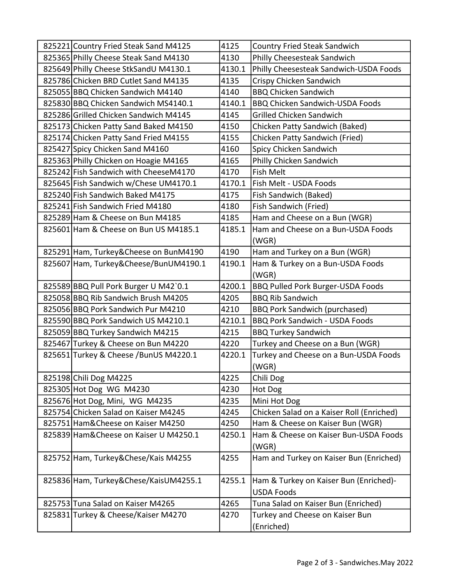| 825221 Country Fried Steak Sand M4125  | 4125   | <b>Country Fried Steak Sandwich</b>       |
|----------------------------------------|--------|-------------------------------------------|
| 825365 Philly Cheese Steak Sand M4130  | 4130   | Philly Cheesesteak Sandwich               |
| 825649 Philly Cheese StkSandU M4130.1  | 4130.1 | Philly Cheesesteak Sandwich-USDA Foods    |
| 825786 Chicken BRD Cutlet Sand M4135   | 4135   | Crispy Chicken Sandwich                   |
| 825055 BBQ Chicken Sandwich M4140      | 4140   | <b>BBQ Chicken Sandwich</b>               |
| 825830 BBQ Chicken Sandwich MS4140.1   | 4140.1 | BBQ Chicken Sandwich-USDA Foods           |
| 825286 Grilled Chicken Sandwich M4145  | 4145   | <b>Grilled Chicken Sandwich</b>           |
| 825173 Chicken Patty Sand Baked M4150  | 4150   | Chicken Patty Sandwich (Baked)            |
| 825174 Chicken Patty Sand Fried M4155  | 4155   | Chicken Patty Sandwich (Fried)            |
| 825427 Spicy Chicken Sand M4160        | 4160   | Spicy Chicken Sandwich                    |
| 825363 Philly Chicken on Hoagie M4165  | 4165   | Philly Chicken Sandwich                   |
| 825242 Fish Sandwich with CheeseM4170  | 4170   | Fish Melt                                 |
| 825645 Fish Sandwich w/Chese UM4170.1  | 4170.1 | Fish Melt - USDA Foods                    |
| 825240 Fish Sandwich Baked M4175       | 4175   | Fish Sandwich (Baked)                     |
| 825241 Fish Sandwich Fried M4180       | 4180   | Fish Sandwich (Fried)                     |
| 825289 Ham & Cheese on Bun M4185       | 4185   | Ham and Cheese on a Bun (WGR)             |
| 825601 Ham & Cheese on Bun US M4185.1  | 4185.1 | Ham and Cheese on a Bun-USDA Foods        |
|                                        |        | (WGR)                                     |
| 825291 Ham, Turkey&Cheese on BunM4190  | 4190   | Ham and Turkey on a Bun (WGR)             |
| 825607 Ham, Turkey&Cheese/BunUM4190.1  | 4190.1 | Ham & Turkey on a Bun-USDA Foods          |
|                                        |        | (WGR)                                     |
| 825589 BBQ Pull Pork Burger U M42`0.1  | 4200.1 | <b>BBQ Pulled Pork Burger-USDA Foods</b>  |
| 825058 BBQ Rib Sandwich Brush M4205    | 4205   | <b>BBQ Rib Sandwich</b>                   |
| 825056 BBQ Pork Sandwich Pur M4210     | 4210   | <b>BBQ Pork Sandwich (purchased)</b>      |
| 825590 BBQ Pork Sandwich US M4210.1    | 4210.1 | <b>BBQ Pork Sandwich - USDA Foods</b>     |
| 825059 BBQ Turkey Sandwich M4215       | 4215   | <b>BBQ Turkey Sandwich</b>                |
| 825467 Turkey & Cheese on Bun M4220    | 4220   | Turkey and Cheese on a Bun (WGR)          |
| 825651 Turkey & Cheese / BunUS M4220.1 | 4220.1 | Turkey and Cheese on a Bun-USDA Foods     |
|                                        |        | (WGR)                                     |
| 825198 Chili Dog M4225                 | 4225   | Chili Dog                                 |
| 825305 Hot Dog WG M4230                | 4230   | Hot Dog                                   |
| 825676 Hot Dog, Mini, WG M4235         | 4235   | Mini Hot Dog                              |
| 825754 Chicken Salad on Kaiser M4245   | 4245   | Chicken Salad on a Kaiser Roll (Enriched) |
| 825751 Ham& Cheese on Kaiser M4250     | 4250   | Ham & Cheese on Kaiser Bun (WGR)          |
| 825839 Ham& Cheese on Kaiser U M4250.1 | 4250.1 | Ham & Cheese on Kaiser Bun-USDA Foods     |
|                                        |        | (WGR)                                     |
| 825752 Ham, Turkey&Chese/Kais M4255    | 4255   | Ham and Turkey on Kaiser Bun (Enriched)   |
|                                        |        |                                           |
| 825836 Ham, Turkey&Chese/KaisUM4255.1  | 4255.1 | Ham & Turkey on Kaiser Bun (Enriched)-    |
|                                        |        | <b>USDA Foods</b>                         |
| 825753 Tuna Salad on Kaiser M4265      | 4265   | Tuna Salad on Kaiser Bun (Enriched)       |
| 825831 Turkey & Cheese/Kaiser M4270    | 4270   | Turkey and Cheese on Kaiser Bun           |
|                                        |        | (Enriched)                                |